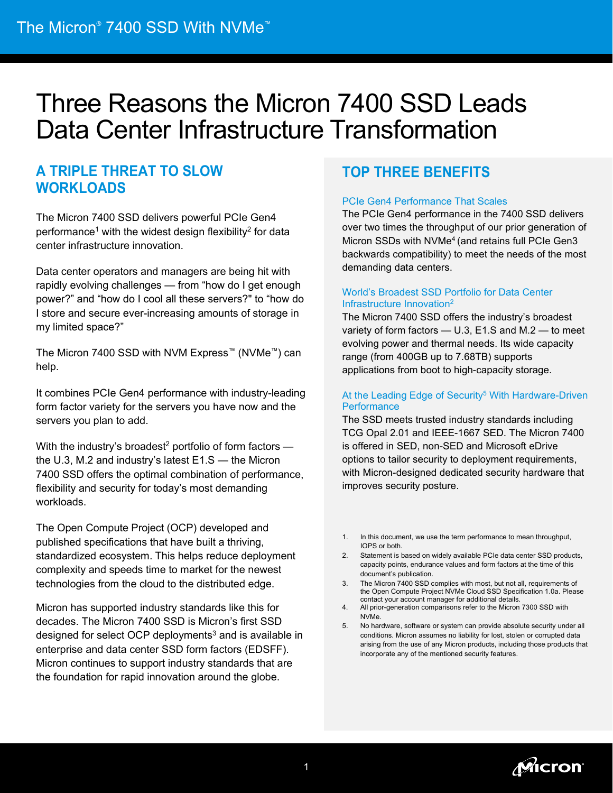# Three Reasons the Micron 7400 SSD Leads Data Center Infrastructure Transformation

### **A TRIPLE THREAT TO SLOW WORKLOADS**

The Micron 7400 SSD delivers powerful PCIe Gen4 performance<sup>1</sup> with the widest design flexibility<sup>2</sup> for data center infrastructure innovation.

Data center operators and managers are being hit with rapidly evolving challenges — from "how do I get enough power?" and "how do I cool all these servers?" to "how do I store and secure ever-increasing amounts of storage in my limited space?"

The Micron 7400 SSD with NVM Express™ (NVMe™) can help.

It combines PCIe Gen4 performance with industry-leading form factor variety for the servers you have now and the servers you plan to add.

With the industry's broadest<sup>2</sup> portfolio of form factors  $$ the U.3, M.2 and industry's latest E1.S — the Micron 7400 SSD offers the optimal combination of performance, flexibility and security for today's most demanding workloads.

The Open Compute Project (OCP) developed and published specifications that have built a thriving, standardized ecosystem. This helps reduce deployment complexity and speeds time to market for the newest technologies from the cloud to the distributed edge.

Micron has supported industry standards like this for decades. The Micron 7400 SSD is Micron's first SSD designed for select OCP deployments<sup>3</sup> and is available in enterprise and data center SSD form factors (EDSFF). Micron continues to support industry standards that are the foundation for rapid innovation around the globe.

# **TOP THREE BENEFITS**

### PCIe Gen4 Performance That Scales

The PCIe Gen4 performance in the 7400 SSD delivers over two times the throughput of our prior generation of Micron SSDs with NVMe<sup>4</sup> (and retains full PCIe Gen3 backwards compatibility) to meet the needs of the most demanding data centers.

### World's Broadest SSD Portfolio for Data Center Infrastructure Innovation2

The Micron 7400 SSD offers the industry's broadest variety of form factors — U.3, E1.S and M.2 — to meet evolving power and thermal needs. Its wide capacity range (from 400GB up to 7.68TB) supports applications from boot to high-capacity storage.

#### At the Leading Edge of Security<sup>5</sup> With Hardware-Driven **Performance**

The SSD meets trusted industry standards including TCG Opal 2.01 and IEEE-1667 SED. The Micron 7400 is offered in SED, non-SED and Microsoft eDrive options to tailor security to deployment requirements, with Micron-designed dedicated security hardware that improves security posture.

- 1. In this document, we use the term performance to mean throughput, IOPS or both.
- 2. Statement is based on widely available PCIe data center SSD products, capacity points, endurance values and form factors at the time of this document's publication.
- 3. The Micron 7400 SSD complies with most, but not all, requirements of the Open Compute Project NVMe Cloud SSD Specification 1.0a. Please contact your account manager for additional details.
- 4. All prior-generation comparisons refer to the Micron 7300 SSD with NVMe.
- 5. No hardware, software or system can provide absolute security under all conditions. Micron assumes no liability for lost, stolen or corrupted data arising from the use of any Micron products, including those products that incorporate any of the mentioned security features.

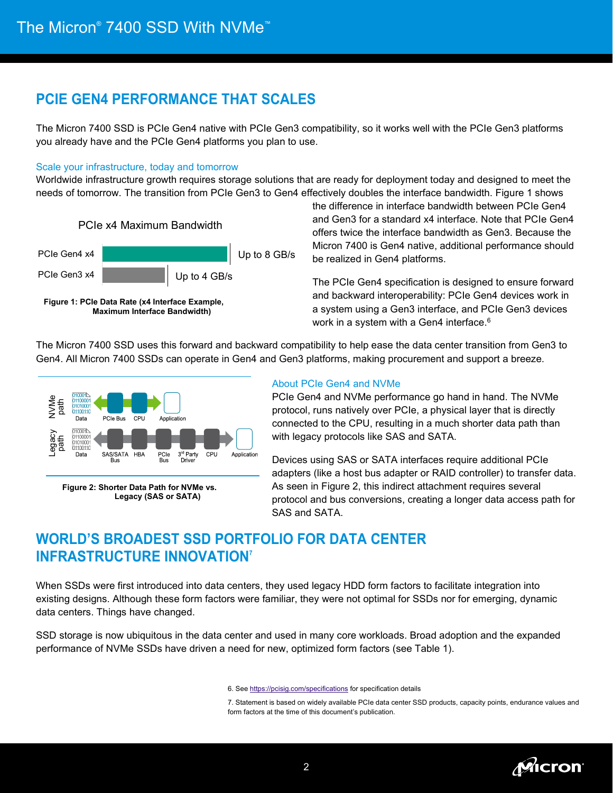### **PCIE GEN4 PERFORMANCE THAT SCALES**

The Micron 7400 SSD is PCIe Gen4 native with PCIe Gen3 compatibility, so it works well with the PCIe Gen3 platforms you already have and the PCIe Gen4 platforms you plan to use.

#### Scale your infrastructure, today and tomorrow

Worldwide infrastructure growth requires storage solutions that are ready for deployment today and designed to meet the needs of tomorrow. The transition from PCIe Gen3 to Gen4 effectively doubles the interface bandwidth. Figure 1 shows





the difference in interface bandwidth between PCIe Gen4 and Gen3 for a standard x4 interface. Note that PCIe Gen4 offers twice the interface bandwidth as Gen3. Because the Micron 7400 is Gen4 native, additional performance should be realized in Gen4 platforms.

The PCIe Gen4 specification is designed to ensure forward and backward interoperability: PCIe Gen4 devices work in a system using a Gen3 interface, and PCIe Gen3 devices work in a system with a Gen4 interface. 6

The Micron 7400 SSD uses this forward and backward compatibility to help ease the data center transition from Gen3 to Gen4. All Micron 7400 SSDs can operate in Gen4 and Gen3 platforms, making procurement and support a breeze.



**Figure 2: Shorter Data Path for NVMe vs. Legacy (SAS or SATA)**

#### About PCIe Gen4 and NVMe

PCIe Gen4 and NVMe performance go hand in hand. The NVMe protocol, runs natively over PCIe, a physical layer that is directly connected to the CPU, resulting in a much shorter data path than with legacy protocols like SAS and SATA.

Devices using SAS or SATA interfaces require additional PCIe adapters (like a host bus adapter or RAID controller) to transfer data. As seen in Figure 2, this indirect attachment requires several protocol and bus conversions, creating a longer data access path for SAS and SATA.

## **WORLD'S BROADEST SSD PORTFOLIO FOR DATA CENTER INFRASTRUCTURE INNOVATION7**

When SSDs were first introduced into data centers, they used legacy HDD form factors to facilitate integration into existing designs. Although these form factors were familiar, they were not optimal for SSDs nor for emerging, dynamic data centers. Things have changed.

SSD storage is now ubiquitous in the data center and used in many core workloads. Broad adoption and the expanded performance of NVMe SSDs have driven a need for new, optimized form factors (see Table 1).

6. See<https://pcisig.com/specifications> for specification details

7. Statement is based on widely available PCIe data center SSD products, capacity points, endurance values and form factors at the time of this document's publication.

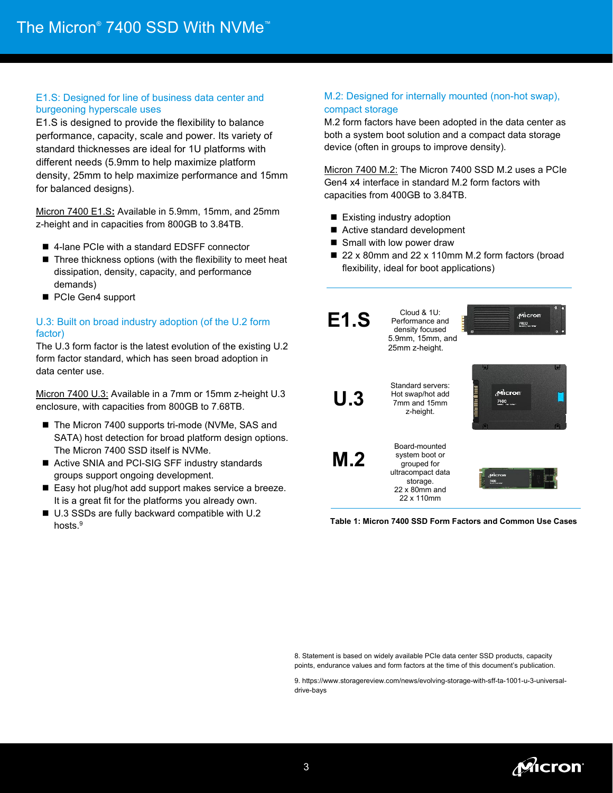#### E1.S: Designed for line of business data center and burgeoning hyperscale uses

E1.S is designed to provide the flexibility to balance performance, capacity, scale and power. Its variety of standard thicknesses are ideal for 1U platforms with different needs (5.9mm to help maximize platform density, 25mm to help maximize performance and 15mm for balanced designs).

Micron 7400 E1.S**:** Available in 5.9mm, 15mm, and 25mm z-height and in capacities from 800GB to 3.84TB.

- 4-lane PCIe with a standard EDSFF connector
- $\blacksquare$  Three thickness options (with the flexibility to meet heat dissipation, density, capacity, and performance demands)
- PCIe Gen4 support

#### U.3: Built on broad industry adoption (of the U.2 form factor)

The U.3 form factor is the latest evolution of the existing U.2 form factor standard, which has seen broad adoption in data center use.

Micron 7400 U.3: Available in a 7mm or 15mm z-height U.3 enclosure, with capacities from 800GB to 7.68TB.

- The Micron 7400 supports tri-mode (NVMe, SAS and SATA) host detection for broad platform design options. The Micron 7400 SSD itself is NVMe.
- Active SNIA and PCI-SIG SFF industry standards groups support ongoing development.
- Easy hot plug/hot add support makes service a breeze. It is a great fit for the platforms you already own.
- U.3 SSDs are fully backward compatible with U.2 hosts.<sup>9</sup>

#### M.2: Designed for internally mounted (non-hot swap), compact storage

M.2 form factors have been adopted in the data center as both a system boot solution and a compact data storage device (often in groups to improve density).

Micron 7400 M.2: The Micron 7400 SSD M.2 uses a PCIe Gen4 x4 interface in standard M.2 form factors with capacities from 400GB to 3.84TB.

- Existing industry adoption
- Active standard development
- Small with low power draw
- 22 x 80mm and 22 x 110mm M.2 form factors (broad flexibility, ideal for boot applications)



8. Statement is based on widely available PCIe data center SSD products, capacity points, endurance values and form factors at the time of this document's publication.

9. https://www.storagereview.com/news/evolving-storage-with-sff-ta-1001-u-3-universaldrive-bays

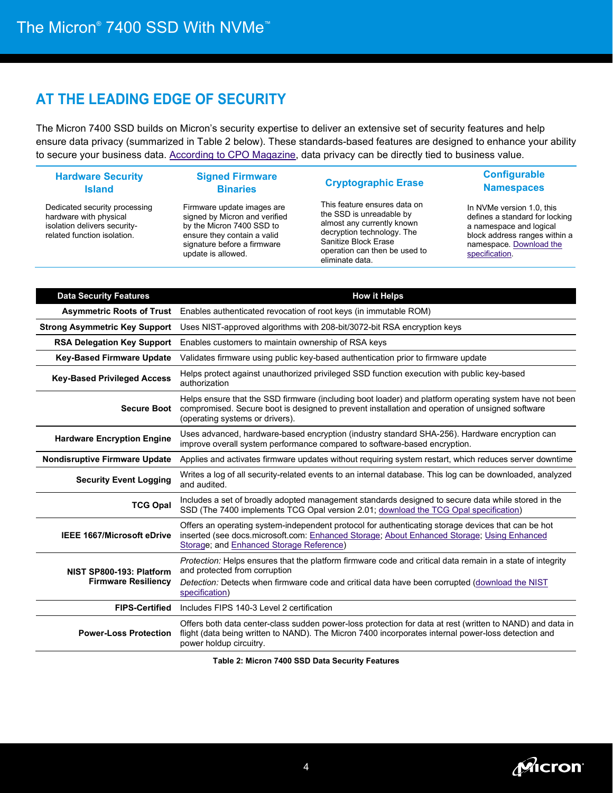### **AT THE LEADING EDGE OF SECURITY**

The Micron 7400 SSD builds on Micron's security expertise to deliver an extensive set of security features and help ensure data privacy (summarized in Table 2 below). These standards-based features are designed to enhance your ability to secure your business data. [According to CPO Magazine,](https://www.cpomagazine.com/blogs/privacy-intelligence/12-reasons-why-data-privacy-protection-brings-business-value/) data privacy can be directly tied to business value.

| <b>Hardware Security</b><br><b>Island</b>                                                                              | <b>Signed Firmware</b><br><b>Binaries</b>                                                                                                                                    | <b>Cryptographic Erase</b>                                                                                                                                                                       |
|------------------------------------------------------------------------------------------------------------------------|------------------------------------------------------------------------------------------------------------------------------------------------------------------------------|--------------------------------------------------------------------------------------------------------------------------------------------------------------------------------------------------|
| Dedicated security processing<br>hardware with physical<br>isolation delivers security-<br>related function isolation. | Firmware update images are<br>signed by Micron and verified<br>by the Micron 7400 SSD to<br>ensure they contain a valid<br>signature before a firmware<br>update is allowed. | This feature ensures data on<br>the SSD is unreadable by<br>almost any currently known<br>decryption technology. The<br>Sanitize Block Erase<br>operation can then be used to<br>eliminate data. |

#### **Configurable Namespaces**

In NVMe version 1.0, this defines a standard for locking a namespace and logical block address ranges within a namespace[. Download the](https://trustedcomputinggroup.org/wp-content/uploads/TCG_Storage-Opal_Feature_Set_CNL_v1_00_r1_00_pub.pdf)  [specification.](https://trustedcomputinggroup.org/wp-content/uploads/TCG_Storage-Opal_Feature_Set_CNL_v1_00_r1_00_pub.pdf)

| <b>Data Security Features</b>                          | <b>How it Helps</b>                                                                                                                                                                                                                                             |  |  |
|--------------------------------------------------------|-----------------------------------------------------------------------------------------------------------------------------------------------------------------------------------------------------------------------------------------------------------------|--|--|
|                                                        | Asymmetric Roots of Trust Enables authenticated revocation of root keys (in immutable ROM)                                                                                                                                                                      |  |  |
| <b>Strong Asymmetric Key Support</b>                   | Uses NIST-approved algorithms with 208-bit/3072-bit RSA encryption keys                                                                                                                                                                                         |  |  |
| <b>RSA Delegation Key Support</b>                      | Enables customers to maintain ownership of RSA keys                                                                                                                                                                                                             |  |  |
| <b>Key-Based Firmware Update</b>                       | Validates firmware using public key-based authentication prior to firmware update                                                                                                                                                                               |  |  |
| <b>Key-Based Privileged Access</b>                     | Helps protect against unauthorized privileged SSD function execution with public key-based<br>authorization                                                                                                                                                     |  |  |
| <b>Secure Boot</b>                                     | Helps ensure that the SSD firmware (including boot loader) and platform operating system have not been<br>compromised. Secure boot is designed to prevent installation and operation of unsigned software<br>(operating systems or drivers).                    |  |  |
| <b>Hardware Encryption Engine</b>                      | Uses advanced, hardware-based encryption (industry standard SHA-256). Hardware encryption can<br>improve overall system performance compared to software-based encryption.                                                                                      |  |  |
| <b>Nondisruptive Firmware Update</b>                   | Applies and activates firmware updates without requiring system restart, which reduces server downtime                                                                                                                                                          |  |  |
| <b>Security Event Logging</b>                          | Writes a log of all security-related events to an internal database. This log can be downloaded, analyzed<br>and audited.                                                                                                                                       |  |  |
| <b>TCG Opal</b>                                        | Includes a set of broadly adopted management standards designed to secure data while stored in the<br>SSD (The 7400 implements TCG Opal version 2.01; download the TCG Opal specification)                                                                      |  |  |
| <b>IEEE 1667/Microsoft eDrive</b>                      | Offers an operating system-independent protocol for authenticating storage devices that can be hot<br>inserted (see docs.microsoft.com: Enhanced Storage; About Enhanced Storage; Using Enhanced<br>Storage; and Enhanced Storage Reference)                    |  |  |
| NIST SP800-193: Platform<br><b>Firmware Resiliency</b> | Protection: Helps ensures that the platform firmware code and critical data remain in a state of integrity<br>and protected from corruption<br>Detection: Detects when firmware code and critical data have been corrupted (download the NIST<br>specification) |  |  |
| <b>FIPS-Certified</b>                                  | Includes FIPS 140-3 Level 2 certification                                                                                                                                                                                                                       |  |  |
| <b>Power-Loss Protection</b>                           | Offers both data center-class sudden power-loss protection for data at rest (written to NAND) and data in<br>flight (data being written to NAND). The Micron 7400 incorporates internal power-loss detection and<br>power holdup circuitry.                     |  |  |

**Table 2: Micron 7400 SSD Data Security Features**